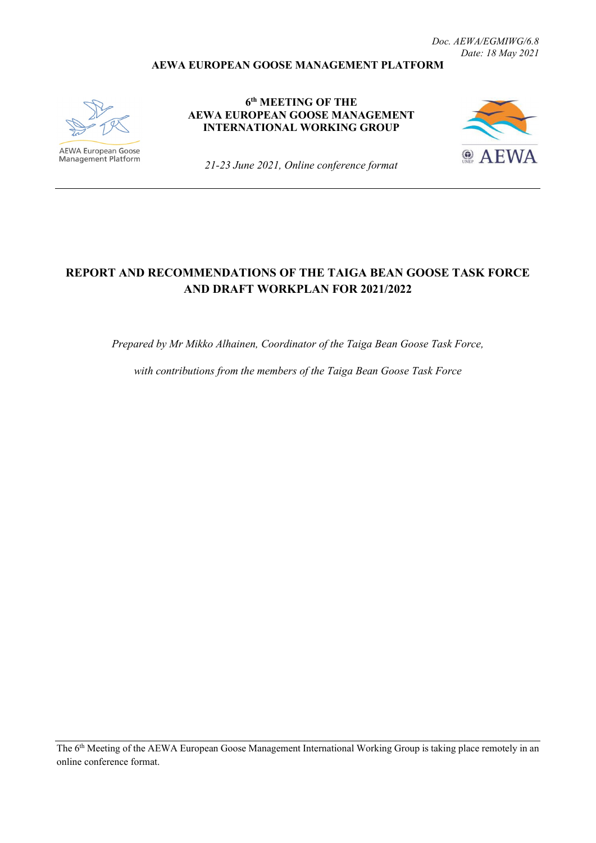#### **AEWA EUROPEAN GOOSE MANAGEMENT PLATFORM**



**AEWA European Goose** Management Platform

**6th MEETING OF THE AEWA EUROPEAN GOOSE MANAGEMENT INTERNATIONAL WORKING GROUP**



*21-23 June 2021, Online conference format*

# **REPORT AND RECOMMENDATIONS OF THE TAIGA BEAN GOOSE TASK FORCE AND DRAFT WORKPLAN FOR 2021/2022**

*Prepared by Mr Mikko Alhainen, Coordinator of the Taiga Bean Goose Task Force,* 

*with contributions from the members of the Taiga Bean Goose Task Force*

The 6<sup>th</sup> Meeting of the AEWA European Goose Management International Working Group is taking place remotely in an online conference format.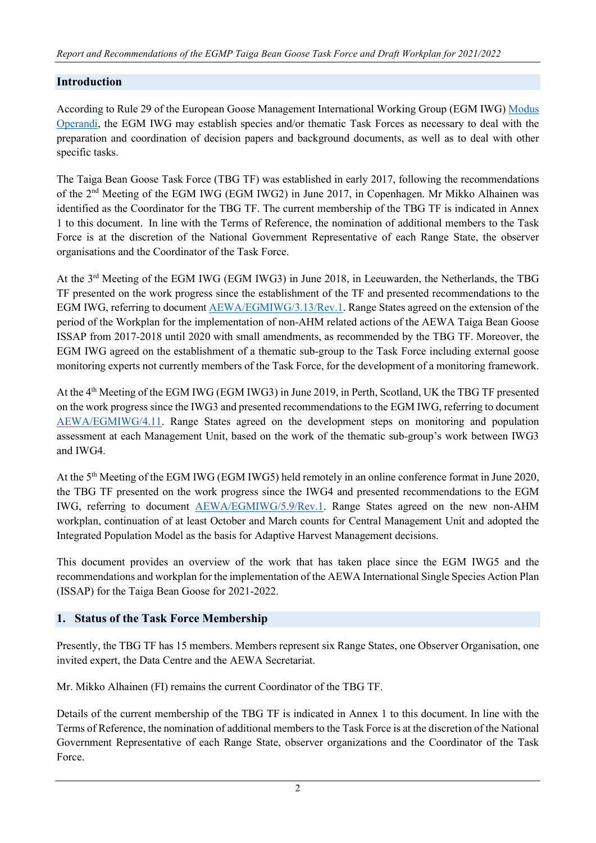### **Introduction**

According to Rule 29 of the European Goose Management International Working Group (EGM IWG[\)](http://www.unep-aewa.org/sites/default/files/document/aewa_egmiwg2_inf_4_egmiwg_modus_operandi.pdf) [Modus](http://www.unep-aewa.org/sites/default/files/document/aewa_egmiwg2_inf_4_egmiwg_modus_operandi.pdf)  [Operandi,](http://www.unep-aewa.org/sites/default/files/document/aewa_egmiwg2_inf_4_egmiwg_modus_operandi.pdf) the EGM IWG may establish species and/or thematic Task Forces as necessary to deal with the preparation and coordination of decision papers and background documents, as well as to deal with other specific tasks.

The Taiga Bean Goose Task Force (TBG TF) was established in early 2017, following the recommendations of the 2nd Meeting of the EGM IWG (EGM IWG2) in June 2017, in Copenhagen. Mr Mikko Alhainen was identified as the Coordinator for the TBG TF. The current membership of the TBG TF is indicated in Annex 1 to this document. In line with the Terms of Reference, the nomination of additional members to the Task Force is at the discretion of the National Government Representative of each Range State, the observer organisations and the Coordinator of the Task Force.

At the 3<sup>rd</sup> Meeting of the EGM IWG (EGM IWG3) in June 2018, in Leeuwarden, the Netherlands, the TBG TF presented on the work progress since the establishment of the TF and presented recommendations to the EGM IWG, referring to documen[t](https://egmp.aewa.info/sites/default/files/meeting_files/documents/AEWA_EGM_IWG_3_13_TBG_TF_report_Rev.1.pdf) [AEWA/EGMIWG/3.13/Rev.1.](https://egmp.aewa.info/sites/default/files/meeting_files/documents/AEWA_EGM_IWG_3_13_TBG_TF_report_Rev.1.pdf) Range States agreed on the extension of the period of the Workplan for the implementation of non-AHM related actions of the AEWA Taiga Bean Goose ISSAP from 2017-2018 until 2020 with small amendments, as recommended by the TBG TF. Moreover, the EGM IWG agreed on the establishment of a thematic sub-group to the Task Force including external goose monitoring experts not currently members of the Task Force, for the development of a monitoring framework.

At the 4th Meeting of the EGM IWG (EGM IWG3) in June 2019, in Perth, Scotland, UK the TBG TF presented on the work progress since the IWG3 and presented recommendations to the EGM IWG, referring to documen[t](https://egmp.aewa.info/sites/default/files/meeting_files/documents/AEWA_EGM_IWG_4_11_TBG_TF.pdf) [AEWA/EGMIWG/4.11.](https://egmp.aewa.info/sites/default/files/meeting_files/documents/AEWA_EGM_IWG_4_11_TBG_TF.pdf) Range States agreed on the development steps on monitoring and population assessment at each Management Unit, based on the work of the thematic sub-group's work between IWG3 and IWG4.

At the 5th Meeting of the EGM IWG (EGM IWG5) held remotely in an online conference format in June 2020, the TBG TF presented on the work progress since the IWG4 and presented recommendations to the EGM IWG, referring to documen[t](https://egmp.aewa.info/sites/default/files/meeting_files/documents/AEWA_EGM_IWG_5_9_TGB_TF_report_Rev.1.pdf) [AEWA/EGMIWG/5.9/Rev.1.](https://egmp.aewa.info/sites/default/files/meeting_files/documents/AEWA_EGM_IWG_5_9_TGB_TF_report_Rev.1.pdf) Range States agreed on the new non-AHM workplan, continuation of at least October and March counts for Central Management Unit and adopted the Integrated Population Model as the basis for Adaptive Harvest Management decisions.

This document provides an overview of the work that has taken place since the EGM IWG5 and the recommendations and workplan for the implementation of the AEWA International Single Species Action Plan (ISSAP) for the Taiga Bean Goose for 2021-2022.

## **1. Status of the Task Force Membership**

Presently, the TBG TF has 15 members. Members represent six Range States, one Observer Organisation, one invited expert, the Data Centre and the AEWA Secretariat.

Mr. Mikko Alhainen (FI) remains the current Coordinator of the TBG TF.

Details of the current membership of the TBG TF is indicated in Annex 1 to this document. In line with the Terms of Reference, the nomination of additional members to the Task Force is at the discretion of the National Government Representative of each Range State, observer organizations and the Coordinator of the Task Force.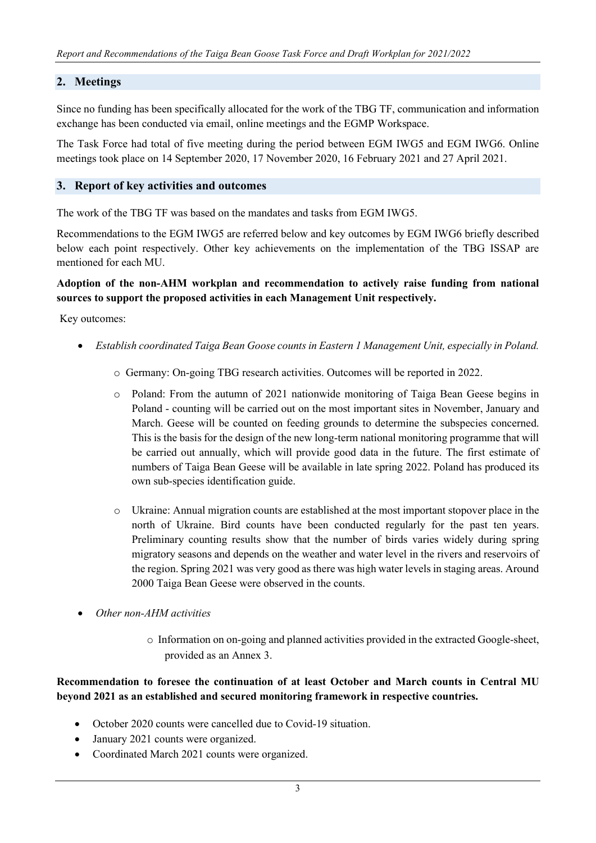#### **2. Meetings**

Since no funding has been specifically allocated for the work of the TBG TF, communication and information exchange has been conducted via email, online meetings and the EGMP Workspace.

The Task Force had total of five meeting during the period between EGM IWG5 and EGM IWG6. Online meetings took place on 14 September 2020, 17 November 2020, 16 February 2021 and 27 April 2021.

#### **3. Report of key activities and outcomes**

The work of the TBG TF was based on the mandates and tasks from EGM IWG5.

Recommendations to the EGM IWG5 are referred below and key outcomes by EGM IWG6 briefly described below each point respectively. Other key achievements on the implementation of the TBG ISSAP are mentioned for each MU.

### **Adoption of the non-AHM workplan and recommendation to actively raise funding from national sources to support the proposed activities in each Management Unit respectively.**

Key outcomes:

- *Establish coordinated Taiga Bean Goose counts in Eastern 1 Management Unit, especially in Poland.*
	- o Germany: On-going TBG research activities. Outcomes will be reported in 2022.
	- o Poland: From the autumn of 2021 nationwide monitoring of Taiga Bean Geese begins in Poland - counting will be carried out on the most important sites in November, January and March. Geese will be counted on feeding grounds to determine the subspecies concerned. This is the basis for the design of the new long-term national monitoring programme that will be carried out annually, which will provide good data in the future. The first estimate of numbers of Taiga Bean Geese will be available in late spring 2022. Poland has produced its own sub-species identification guide.
	- o Ukraine: Annual migration counts are established at the most important stopover place in the north of Ukraine. Bird counts have been conducted regularly for the past ten years. Preliminary counting results show that the number of birds varies widely during spring migratory seasons and depends on the weather and water level in the rivers and reservoirs of the region. Spring 2021 was very good as there was high water levels in staging areas. Around 2000 Taiga Bean Geese were observed in the counts.
- *Other non-AHM activities*
	- o Information on on-going and planned activities provided in the extracted Google-sheet, provided as an Annex 3.

### **Recommendation to foresee the continuation of at least October and March counts in Central MU beyond 2021 as an established and secured monitoring framework in respective countries.**

- October 2020 counts were cancelled due to Covid-19 situation.
- January 2021 counts were organized.
- Coordinated March 2021 counts were organized.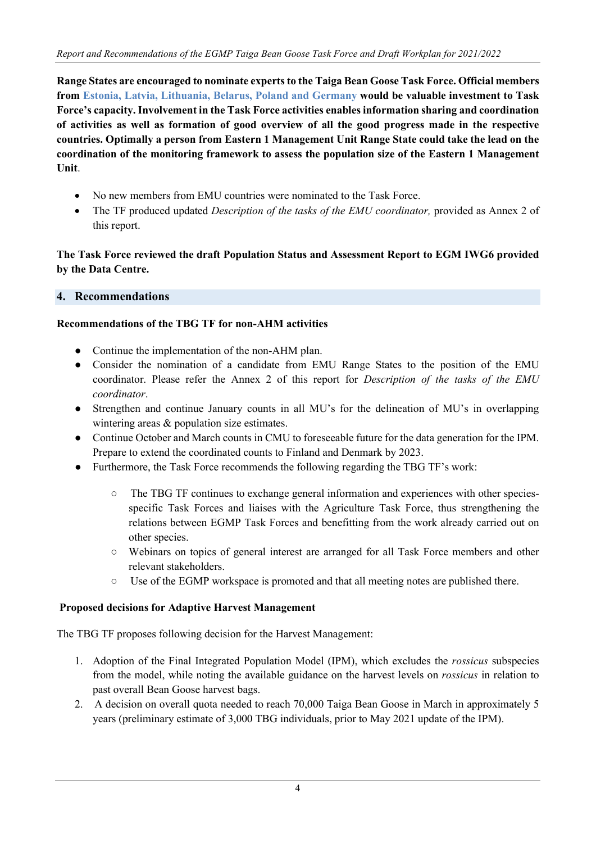**Range States are encouraged to nominate experts to the Taiga Bean Goose Task Force. Official members from Estonia, Latvia, Lithuania, Belarus, Poland and Germany would be valuable investment to Task Force's capacity. Involvement in the Task Force activities enables information sharing and coordination of activities as well as formation of good overview of all the good progress made in the respective countries. Optimally a person from Eastern 1 Management Unit Range State could take the lead on the coordination of the monitoring framework to assess the population size of the Eastern 1 Management Unit**.

- No new members from EMU countries were nominated to the Task Force.
- The TF produced updated *Description of the tasks of the EMU coordinator*, provided as Annex 2 of this report.

## **The Task Force reviewed the draft Population Status and Assessment Report to EGM IWG6 provided by the Data Centre.**

### **4. Recommendations**

#### **Recommendations of the TBG TF for non-AHM activities**

- Continue the implementation of the non-AHM plan.
- Consider the nomination of a candidate from EMU Range States to the position of the EMU coordinator. Please refer the Annex 2 of this report for *Description of the tasks of the EMU coordinator*.
- Strengthen and continue January counts in all MU's for the delineation of MU's in overlapping wintering areas & population size estimates.
- Continue October and March counts in CMU to foreseeable future for the data generation for the IPM. Prepare to extend the coordinated counts to Finland and Denmark by 2023.
- Furthermore, the Task Force recommends the following regarding the TBG TF's work:
	- The TBG TF continues to exchange general information and experiences with other speciesspecific Task Forces and liaises with the Agriculture Task Force, thus strengthening the relations between EGMP Task Forces and benefitting from the work already carried out on other species.
	- Webinars on topics of general interest are arranged for all Task Force members and other relevant stakeholders.
	- Use of the EGMP workspace is promoted and that all meeting notes are published there.

#### **Proposed decisions for Adaptive Harvest Management**

The TBG TF proposes following decision for the Harvest Management:

- 1. Adoption of the Final Integrated Population Model (IPM), which excludes the *rossicus* subspecies from the model, while noting the available guidance on the harvest levels on *rossicus* in relation to past overall Bean Goose harvest bags.
- 2. A decision on overall quota needed to reach 70,000 Taiga Bean Goose in March in approximately 5 years (preliminary estimate of 3,000 TBG individuals, prior to May 2021 update of the IPM).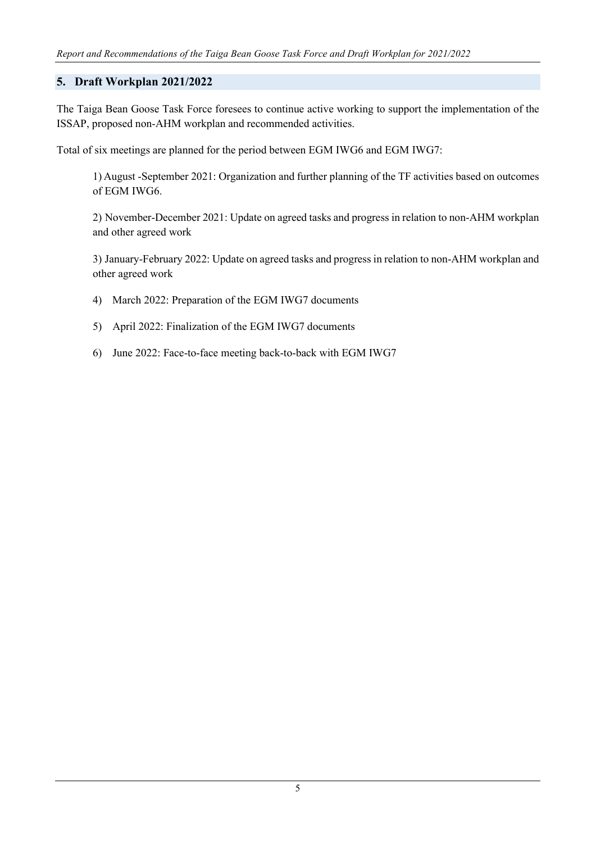## **5. Draft Workplan 2021/2022**

The Taiga Bean Goose Task Force foresees to continue active working to support the implementation of the ISSAP, proposed non-AHM workplan and recommended activities.

Total of six meetings are planned for the period between EGM IWG6 and EGM IWG7:

1) August -September 2021: Organization and further planning of the TF activities based on outcomes of EGM IWG6.

2) November-December 2021: Update on agreed tasks and progress in relation to non-AHM workplan and other agreed work

3) January-February 2022: Update on agreed tasks and progress in relation to non-AHM workplan and other agreed work

- 4) March 2022: Preparation of the EGM IWG7 documents
- 5) April 2022: Finalization of the EGM IWG7 documents
- 6) June 2022: Face-to-face meeting back-to-back with EGM IWG7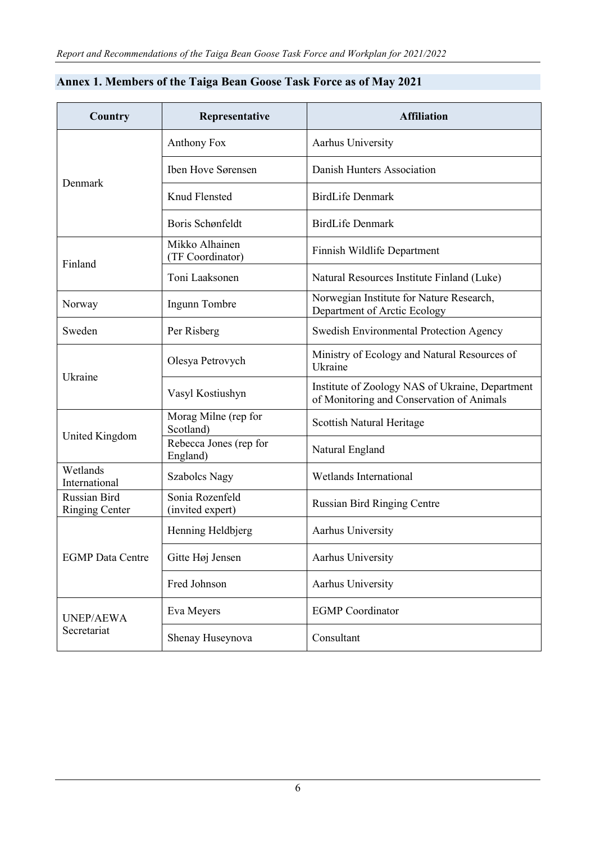| Country                               | Representative                      | <b>Affiliation</b>                                                                           |  |  |  |
|---------------------------------------|-------------------------------------|----------------------------------------------------------------------------------------------|--|--|--|
|                                       | Anthony Fox                         | Aarhus University                                                                            |  |  |  |
|                                       | Iben Hove Sørensen                  | Danish Hunters Association                                                                   |  |  |  |
| Denmark                               | Knud Flensted                       | <b>BirdLife Denmark</b>                                                                      |  |  |  |
|                                       | Boris Schønfeldt                    | <b>BirdLife Denmark</b>                                                                      |  |  |  |
| Finland                               | Mikko Alhainen<br>(TF Coordinator)  | Finnish Wildlife Department                                                                  |  |  |  |
|                                       | Toni Laaksonen                      | Natural Resources Institute Finland (Luke)                                                   |  |  |  |
| Norway                                | Ingunn Tombre                       | Norwegian Institute for Nature Research,<br>Department of Arctic Ecology                     |  |  |  |
| Sweden                                | Per Risberg                         | Swedish Environmental Protection Agency                                                      |  |  |  |
|                                       | Olesya Petrovych                    | Ministry of Ecology and Natural Resources of<br>Ukraine                                      |  |  |  |
| Ukraine                               | Vasyl Kostiushyn                    | Institute of Zoology NAS of Ukraine, Department<br>of Monitoring and Conservation of Animals |  |  |  |
|                                       | Morag Milne (rep for<br>Scotland)   | Scottish Natural Heritage                                                                    |  |  |  |
| United Kingdom                        | Rebecca Jones (rep for<br>England)  | Natural England                                                                              |  |  |  |
| Wetlands<br>International             | <b>Szabolcs Nagy</b>                | Wetlands International                                                                       |  |  |  |
| Russian Bird<br><b>Ringing Center</b> | Sonia Rozenfeld<br>(invited expert) | <b>Russian Bird Ringing Centre</b>                                                           |  |  |  |
|                                       | Henning Heldbjerg                   | Aarhus University                                                                            |  |  |  |
| <b>EGMP</b> Data Centre               | Gitte Høj Jensen                    | Aarhus University                                                                            |  |  |  |
|                                       | Fred Johnson                        | Aarhus University                                                                            |  |  |  |
| <b>UNEP/AEWA</b>                      | Eva Meyers                          | <b>EGMP</b> Coordinator                                                                      |  |  |  |
| Secretariat                           | Shenay Huseynova                    | Consultant                                                                                   |  |  |  |

# **Annex 1. Members of the Taiga Bean Goose Task Force as of May 2021**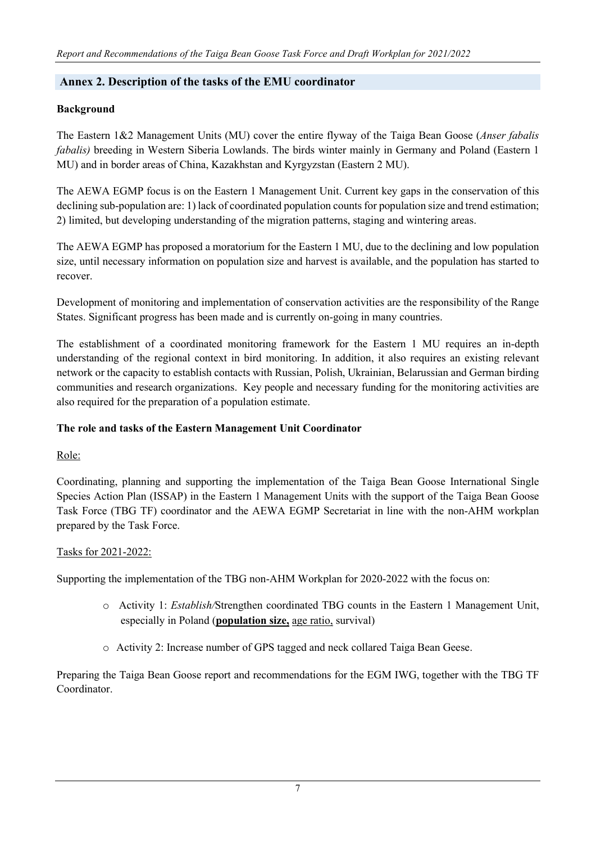### **Annex 2. Description of the tasks of the EMU coordinator**

#### **Background**

The Eastern 1&2 Management Units (MU) cover the entire flyway of the Taiga Bean Goose (*Anser fabalis fabalis*) breeding in Western Siberia Lowlands. The birds winter mainly in Germany and Poland (Eastern 1) MU) and in border areas of China, Kazakhstan and Kyrgyzstan (Eastern 2 MU).

The AEWA EGMP focus is on the Eastern 1 Management Unit. Current key gaps in the conservation of this declining sub-population are: 1) lack of coordinated population counts for population size and trend estimation; 2) limited, but developing understanding of the migration patterns, staging and wintering areas.

The AEWA EGMP has proposed a moratorium for the Eastern 1 MU, due to the declining and low population size, until necessary information on population size and harvest is available, and the population has started to recover.

Development of monitoring and implementation of conservation activities are the responsibility of the Range States. Significant progress has been made and is currently on-going in many countries.

The establishment of a coordinated monitoring framework for the Eastern 1 MU requires an in-depth understanding of the regional context in bird monitoring. In addition, it also requires an existing relevant network or the capacity to establish contacts with Russian, Polish, Ukrainian, Belarussian and German birding communities and research organizations. Key people and necessary funding for the monitoring activities are also required for the preparation of a population estimate.

#### **The role and tasks of the Eastern Management Unit Coordinator**

## Role:

Coordinating, planning and supporting the implementation of the Taiga Bean Goose International Single Species Action Plan (ISSAP) in the Eastern 1 Management Units with the support of the Taiga Bean Goose Task Force (TBG TF) coordinator and the AEWA EGMP Secretariat in line with the non-AHM workplan prepared by the Task Force.

#### Tasks for 2021-2022:

Supporting the implementation of the TBG non-AHM Workplan for 2020-2022 with the focus on:

- o Activity 1: *Establish/*Strengthen coordinated TBG counts in the Eastern 1 Management Unit, especially in Poland (**population size,** age ratio, survival)
- o Activity 2: Increase number of GPS tagged and neck collared Taiga Bean Geese.

Preparing the Taiga Bean Goose report and recommendations for the EGM IWG, together with the TBG TF Coordinator.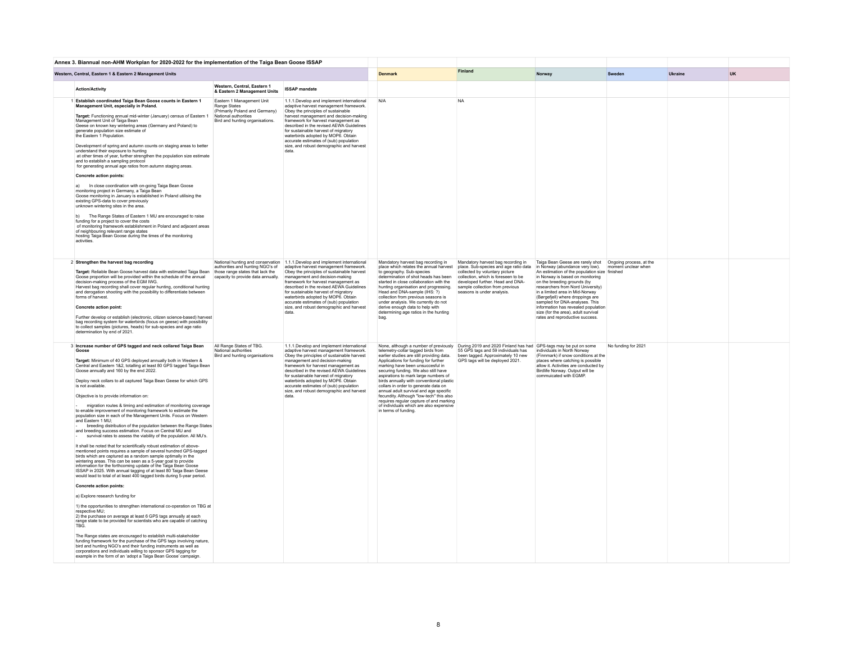| Annex 3. Biannual non-AHM Workplan for 2020-2022 for the implementation of the Taiga Bean Goose ISSAP                                                                                                                                                                                                                                                                                                                                                                                                                                                                                                                                                                                                                                                                                                                                                                                                                                                                                                                                                                                                                                                                                                                                                                                                                                                                                                                                                                                                                                                                                                                                                                                                                                                                                                                                                                                                                                                                                                 |                                                                                                                                        |                                                                                                                                                                                                                                                                                                                                                                                                                                                                      |                                                                                                                                                                                                                                                                                                                                                                                                                                                                                                                                     |                                                                                                                                                                                                                                                           |                                                                                                                                                                                                                                                                                                                                                                                                                                                                                 |                     |           |  |
|-------------------------------------------------------------------------------------------------------------------------------------------------------------------------------------------------------------------------------------------------------------------------------------------------------------------------------------------------------------------------------------------------------------------------------------------------------------------------------------------------------------------------------------------------------------------------------------------------------------------------------------------------------------------------------------------------------------------------------------------------------------------------------------------------------------------------------------------------------------------------------------------------------------------------------------------------------------------------------------------------------------------------------------------------------------------------------------------------------------------------------------------------------------------------------------------------------------------------------------------------------------------------------------------------------------------------------------------------------------------------------------------------------------------------------------------------------------------------------------------------------------------------------------------------------------------------------------------------------------------------------------------------------------------------------------------------------------------------------------------------------------------------------------------------------------------------------------------------------------------------------------------------------------------------------------------------------------------------------------------------------|----------------------------------------------------------------------------------------------------------------------------------------|----------------------------------------------------------------------------------------------------------------------------------------------------------------------------------------------------------------------------------------------------------------------------------------------------------------------------------------------------------------------------------------------------------------------------------------------------------------------|-------------------------------------------------------------------------------------------------------------------------------------------------------------------------------------------------------------------------------------------------------------------------------------------------------------------------------------------------------------------------------------------------------------------------------------------------------------------------------------------------------------------------------------|-----------------------------------------------------------------------------------------------------------------------------------------------------------------------------------------------------------------------------------------------------------|---------------------------------------------------------------------------------------------------------------------------------------------------------------------------------------------------------------------------------------------------------------------------------------------------------------------------------------------------------------------------------------------------------------------------------------------------------------------------------|---------------------|-----------|--|
| Western, Central, Eastern 1 & Eastern 2 Management Units                                                                                                                                                                                                                                                                                                                                                                                                                                                                                                                                                                                                                                                                                                                                                                                                                                                                                                                                                                                                                                                                                                                                                                                                                                                                                                                                                                                                                                                                                                                                                                                                                                                                                                                                                                                                                                                                                                                                              |                                                                                                                                        | <b>Denmark</b>                                                                                                                                                                                                                                                                                                                                                                                                                                                       | <b>Finland</b>                                                                                                                                                                                                                                                                                                                                                                                                                                                                                                                      | Norway                                                                                                                                                                                                                                                    | Sweden                                                                                                                                                                                                                                                                                                                                                                                                                                                                          | Ukraine             | <b>UK</b> |  |
| <b>Action/Activity</b>                                                                                                                                                                                                                                                                                                                                                                                                                                                                                                                                                                                                                                                                                                                                                                                                                                                                                                                                                                                                                                                                                                                                                                                                                                                                                                                                                                                                                                                                                                                                                                                                                                                                                                                                                                                                                                                                                                                                                                                | Western, Central, Eastern 1<br>& Eastern 2 Management Units                                                                            | <b>ISSAP</b> mandate                                                                                                                                                                                                                                                                                                                                                                                                                                                 |                                                                                                                                                                                                                                                                                                                                                                                                                                                                                                                                     |                                                                                                                                                                                                                                                           |                                                                                                                                                                                                                                                                                                                                                                                                                                                                                 |                     |           |  |
| 1 Establish coordinated Taiga Bean Goose counts in Eastern 1<br>Management Unit, especially in Poland.<br>Target: Functioning annual mid-winter (January) census of Eastern 1<br>Management Unit of Taiga Bean<br>Geese on known key wintering areas (Germany and Poland) to<br>generate population size estimate of<br>the Eastern 1 Population.<br>Development of spring and autumn counts on staging areas to better<br>understand their exposure to hunting<br>at other times of year, further strengthen the population size estimate<br>and to establish a sampling protocol<br>for generating annual age ratios from autumn staging areas.<br>Concrete action points:<br>In close coordination with on-going Taiga Bean Goose<br>a)<br>monitoring project in Germany, a Taiga Bean<br>Goose monitoring in January is established in Poland utilising the<br>existing GPS-data to cover previously<br>unknown wintering sites in the area.<br>The Range States of Eastern 1 MU are encouraged to raise<br>funding for a project to cover the costs<br>of monitoring framework establishment in Poland and adjacent areas<br>of neighbouring relevant range states<br>hosting Taiga Bean Goose during the times of the monitoring<br>activities.                                                                                                                                                                                                                                                                                                                                                                                                                                                                                                                                                                                                                                                                                                                                                 | Eastern 1 Management Unit<br>Range States<br>(Primarily Poland and Germany)<br>National authorities<br>Bird and hunting organisations. | 1.1.1.Develop and implement international<br>adaptive harvest management framework.<br>Obey the principles of sustainable<br>harvest management and decision-making<br>framework for harvest management as<br>described in the revised AEWA Guidelines<br>for sustainable harvest of migratory<br>waterbirds adopted by MOP6. Obtain<br>accurate estimates of (sub) population<br>size, and robust demographic and harvest<br>data                                   | N/A                                                                                                                                                                                                                                                                                                                                                                                                                                                                                                                                 | <b>NA</b>                                                                                                                                                                                                                                                 |                                                                                                                                                                                                                                                                                                                                                                                                                                                                                 |                     |           |  |
| 2 Strengthen the harvest bag recording<br>Target: Reliable Bean Goose harvest data with estimated Taiga Bean<br>Goose proportion will be provided within the schedule of the annual<br>decision-making process of the EGM IWG.<br>Harvest bag recording shall cover regular hunting, conditional hunting<br>and derogation shooting with the possibility to differentiate between<br>forms of harvest.<br>Concrete action point:<br>Further develop or establish (electronic, citizen science-based) harvest<br>bag recording system for waterbirds (focus on geese) with possibility<br>to collect samples (pictures, heads) for sub-species and age ratio<br>determination by end of 2021.                                                                                                                                                                                                                                                                                                                                                                                                                                                                                                                                                                                                                                                                                                                                                                                                                                                                                                                                                                                                                                                                                                                                                                                                                                                                                                          | authorities and hunting NGO's of<br>those range states that lack the<br>capacity to provide data annually.                             | National hunting and conservation 1.1.1.Develop and implement international<br>adaptive harvest management framework.<br>Obey the principles of sustainable harvest<br>management and decision-making<br>framework for harvest management as<br>described in the revised AEWA Guidelines<br>for sustainable harvest of migratory<br>waterbirds adopted by MOP6. Obtain<br>accurate estimates of (sub) population<br>size, and robust demographic and harvest<br>data | Mandatory harvest bag recording in<br>place which relates the annual harvest<br>to geography. Sub-species<br>determination of shot heads has been<br>started in close collaboration with the<br>hunting organisation and progressing.<br>Head and DNA-sample (IHS: ?)<br>collection from previous seasons is<br>under analysis. We currently do not<br>derive enough data to help with<br>determining age ratios in the hunting<br>bag.                                                                                             | Mandatory harvest bag recording in<br>place. Sub-species and age ratio data<br>collected by voluntary picture<br>collection, which is foreseen to be<br>developed further. Head and DNA-<br>sample collection from previous<br>seasons is under analysis. | Taiga Bean Geese are rarely shot  Ongoing process, at the<br>in Norway (abundance very low).<br>An estimation of the population size finished<br>in Norway is based on monitoring<br>on the breeding grounds (by<br>researchers from Nord University)<br>in a limited area in Mid-Norway<br>(Børgefjell) where droppings are<br>sampled for DNA-analyses. This<br>information has revealed population<br>size (for the area), adult survival<br>rates and reproductive success. | moment unclear when |           |  |
| 3 Increase number of GPS tagged and neck collared Taiga Bean<br>Goose<br>Target: Minimum of 40 GPS deployed annually both in Western &<br>Central and Eastern 1&2, totalling at least 80 GPS tagged Taiga Bean<br>Goose annually and 160 by the end 2022.<br>Deploy neck collars to all captured Taiga Bean Geese for which GPS<br>is not available.<br>Objective is to provide information on:<br>migration routes & timing and estimation of monitoring coverage<br>to enable improvement of monitoring framework to estimate the<br>population size in each of the Management Units. Focus on Western<br>and Eastern 1 MU;<br>breeding distribution of the population between the Range States<br>and breeding success estimation. Focus on Central MU and<br>survival rates to assess the viability of the population. All MU's.<br>It shall be noted that for scientifically robust estimation of above-<br>mentioned points requires a sample of several hundred GPS-tagged<br>birds which are captured as a random sample optimally in the<br>wintering areas. This can be seen as a 5-year goal to provide<br>information for the forthcoming update of the Taiga Bean Goose<br>ISSAP in 2025. With annual tagging of at least 80 Taiga Bean Geese<br>would lead to total of at least 400 tagged birds during 5-year period.<br>Concrete action points:<br>a) Explore research funding for<br>1) the opportunities to strengthen international co-operation on TBG at<br>respective MU;<br>2) the purchase on average at least 6 GPS tags annually at each<br>range state to be provided for scientists who are capable of catching<br>TBG.<br>The Range states are encouraged to establish multi-stakeholder<br>funding framework for the purchase of the GPS tags involving nature,<br>bird and hunting NGO's and their funding instruments as well as<br>corporations and individuals willing to sponsor GPS tagging for<br>example in the form of an 'adopt a Taiga Bean Goose' campaign. | All Range States of TBG.<br>National authorities<br>Bird and hunting organisations                                                     | 1.1.1.Develop and implement international<br>adaptive harvest management framework.<br>Obey the principles of sustainable harvest<br>management and decision-making<br>framework for harvest management as<br>described in the revised AEWA Guidelines<br>for sustainable harvest of migratory<br>waterbirds adopted by MOP6. Obtain<br>accurate estimates of (sub) population<br>size, and robust demographic and harvest<br>data                                   | telemetry-collar tagged birds from<br>earlier studies are still providing data.<br>Applications for funding for further<br>marking have been unsuccesful in<br>securing funding. We also still have<br>aspirations to mark large numbers of<br>birds annually with conventional plastic<br>collars in order to generate data on<br>annual adult survival and age specific<br>fecundity. Although "low-tech" this also<br>requires reqular capture of and marking<br>of individuals which are also expensive<br>in terms of funding. | None, although a number of previously During 2019 and 2020 Finland has had GPS-tags may be put on some<br>55 GPS tags and 59 individuals has<br>been tagged. Approximately 10 new<br>GPS tags will be deployed 2021.                                      | individuals in North Norway<br>(Finnmark) if snow conditions at the<br>places where catching is possible<br>allow it. Activities are conducted by<br>Birdlife Norway, Output will be<br>commujcated with EGMP                                                                                                                                                                                                                                                                   | No funding for 2021 |           |  |